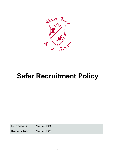

# Safer Recruitment Policy

Last reviewed on: November 2021

Next review due by: November 2022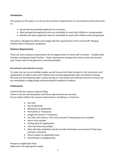## Introduction

The purpose of this policy is to set out the minimum requirements of a recruitment process that aims to:

- Attract the best possible applicants to vacancies;
- Deter prospective applicants who are unsuitable for work with children or young people;
- Identify and reject applicants who are unsuitable for work with children and young people.

The policy is designed to reflect and comply with the requirements of the current DfE 'Keeping Children Safe in Education' guidelines.

#### Statutory Requirements

There are some statutory requirements for the appointment of some staff in schools – notably Head Teachers and Deputy Head Teachers. These requirements change from time-to-time and must be met. Please refer to the governors committee booklet.

#### Recruitment and selection process

To make sure we recruit suitable people, we will ensure that those involved in the recruitment and employment of staff to work with children have received appropriate safer recruitment training. We have put the following steps in place during our recruitment and selection process to ensure we are committed to safeguarding and promoting the welfare of children.

#### Preliminaries

Confirm that the vacancy requires filling.

Check to see the Job Description and Person Specification are accurate. Ensure advert reflects the vacancy requirements, including as a minimum:

- Job Title
- Pay Grade/Scale
- Allowances (if applicable)
- Permanent or Temporary
- Length of Contract if Temporary
- Full-time, Part-time or Term-time (include if training days are included)
- Hours to be worked
- Closing Date for Applications
- Interview Date (if possible)
- Date whereby candidates should consider themselves unsuccessful if they have not been contacted
- How to obtain an application pack
- Commitment to Safeguarding

Prepare an Application Pack. Advertise in the appropriate media.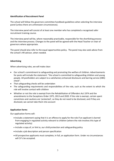#### Identification of Recruitment Panel

The school will follow the governors committee handbook guidelines when selecting the interview panel (unless there are unforeseen circumstances).

The interview panel will consist of at least one member who has completed a recognised safer recruitment training course.

The interview panel will be, where reasonably practicable, responsible for the shortlisting process and the interview process. Changes to the panel will be agreed with the Head Teacher or chair of governors where appropriate.

The panel should also refer to the equal opportunities policy. The panel may also seek advice from the school's HR advisor, when needed.

#### Advertising

When advertising roles, we will make clear:

- Our school's commitment to safeguarding and promoting the welfare of children. Advertisements for posts will include the statement: "the school is committed to safeguarding children and young people. All postholders are subject to a satisfactory enhanced disclosure and barring service (DBS) check".
- That safeguarding checks will be undertaken
- The safeguarding requirements and responsibilities of the role, such as the extent to which the role will involve contact with children
- Whether or not the role is exempt from the Rehabilitation of Offenders Act 1974 and the amendments to the Exceptions Order 1975, 2013 and 2020. If the role is exempt, certain spent convictions and cautions are 'protected', so they do not need to be disclosed, and if they are disclosed, we cannot take them into account

#### Application forms

Our application forms will:

- Include a statement saying that it is an offence to apply for the role if an applicant is barred from engaging in regulated activity relevant to children (where the role involves this type of regulated activity)
- Include a copy of, or link to, our child protection and safeguarding policy
- Include a job description and person specification
- All prospective applicants must complete, in full, an application form. Under no circumstances will CV's be accepted.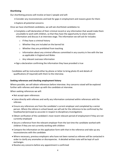#### Shortlisting

Our shortlisting process will involve at least 2 people and will:

- Consider any inconsistencies and look for gaps in employment and reasons given for them
- Explore all potential concerns

Once we have shortlisted candidates, we will ask shortlisted candidates to:

- Complete a self-declaration of their criminal record or any information that would make them unsuitable to work with children, so that they have the opportunity to share relevant information and discuss it at interview stage. The information we will ask for includes:
	- $\circ$  If they have a criminal history
	- o Whether they are included on the barred list
	- o Whether they are prohibited from teaching
	- $\circ$  Information about any criminal offences committed in any country in line with the law as applicable in England and Wales
	- o Any relevant overseas information
- Sign a declaration confirming the information they have provided is true

Candidates will be instructed either by phone or letter to bring photo ID and details of qualifications (if required) with them to the interview.

#### Seeking references and checking employment history

Where possible, we will obtain references before interview. Any concerns raised will be explored further with referees and taken up with the candidate at interview.

When seeking references we will:

- Not accept open references
- Liaise directly with referees and verify any information contained within references with the referees
- Ensure any references are from the candidate's current employer and completed by a senior person. Where the referee is school based, we will ask for the reference to be confirmed by the headteacher/principal as accurate in respect to disciplinary investigations
- Obtain verification of the candidate's most recent relevant period of employment if they are not currently employed
- Secure a reference from the relevant employer from the last time the candidate worked with children if they are not currently working with children
- Compare the information on the application form with that in the reference and take up any inconsistencies with the candidate
- Where necessary, previous employers who have not been named as referees will be contacted in order to clarify any anomalies or discrepancies. A detailed written note will be kept of such exchanges.
- Resolve any concerns before any appointment is confirmed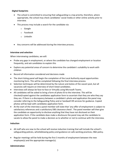## Digital footprints

- The school is committed to ensuring that safeguarding is a top priority; therefore, where appropriate, the school may check candidates' social media or other online activity prior to interview.
- This process may include a search for the candidate via:
	- o Google
	- o Facebook
	- o LinkedIn
- Any concerns will be addressed during the interview process.

## Interview and selection

When interviewing candidates, we will:

- Probe any gaps in employment, or where the candidate has changed employment or location frequently, and ask candidates to explain this
- Explore any potential areas of concern to determine the candidate's suitability to work with children
- Record all information considered and decisions made
- The short-listing panel will begin the completion of the Local Authority equal opportunities monitoring form. This will be completed following the final interview process.
- Selection techniques will be determined by the nature and duties of the vacant post, but all vacancies will require an interview of short-listed candidates.
- Interviews will always be face-to-face or Virtually using Microsoft Teams.
- All candidates will be asked to bring a form of photo ID to the interview. This will be checked/copied against the candidates application form to ascertain that they are who they say they are. If there is a discrepancy between a candidate's photo and application the panel may consider referring to the Safeguarding Policy and or Sandwell HR services for guidance. Copied photos will be kept with candidates application form.
- At the start of the interview a panel member will state that 'any offer of employment is subject to satisfactory references and a satisfactory DBS clearance check'. The panel member will then give the candidate an opportunity to disclose anything that they have not disclosed on their application form. If the candidate does make a disclosure the panel may ask the candidate to vacate to allow the panel to make a decision as to whether or not to continue with the interview.

## Induction

- All staff who are new to the school will receive induction training that will include the school's safeguarding policies, whistleblowing policy and guidance on safe working practices, H&S policy.
- Regular meetings will be held during the first 3 months of employment between the new employee(s) and the appropriate manager(s).

## Administration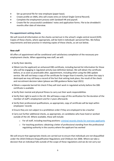- $\bullet$  Set up personal file for new employee (paper base).
- Create profile on SIMS, (this will create entry on School Single Central Record).
- Complete the employment process with Sandwell HR and payroll.
- Create file for unsuccessful candidates' notes and application forms. File to be shredded 6 months after date of interview.

#### Pre-appointment vetting checks

We will record all information on the checks carried out in the school's single central record (SCR). Copies of these checks, where appropriate, will be held in individuals' personnel files. We follow requirements and best practice in retaining copies of these checks, as set out below.

## New staff

All offers of appointment will be conditional until satisfactory completion of the necessary preemployment checks. When appointing new staff, we will:

- Verify their identity
- Obtain (via the applicant) an enhanced DBS certificate, including barred list information for those who will be engaging in regulated activity (see definition below). We will obtain the certificate before, or as soon as practicable after, appointment, including when using the DBS update service. We will not keep a copy of the certificate for longer than 6 months, but when the copy is destroyed we may still keep a record of the fact that vetting took place, the result of the check and recruitment decision taken (please see DBS guidance Notes Sept 2021)
- Obtain a separate barred list check if they will start work in regulated activity before the DBS certificate is available
- Verify their mental and physical fitness to carry out their work responsibilities
- Verify their right to work in the UK. We will keep a copy of this verification for the duration of the member of staff's employment and for 2 years afterwards
- Verify their professional qualifications, as appropriate, copy of certificate will be kept within employees' records
- Ensure they are not subject to a prohibition order if they are employed to be a teacher
- Carry out further additional checks, as appropriate, on candidates who have lived or worked outside of the UK. Where available, these will include:
	- o For all staff, including teaching positions: criminal records checks for overseas applicants
	- o For teaching positions: obtaining a letter of professional standing from the professional regulating authority in the country where the applicant has worked

We will ensure that appropriate checks are carried out to ensure that individuals are not disqualified under the 2018 Childcare Disqualification Regulations and Childcare Act 2006. Where we take a decision that an individual falls outside of the scope of these regulations and we do not carry out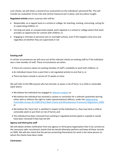such checks, we will retain a record of our assessment on the individual's personnel file. This will include our evaluation of any risks and control measures put in place, and any advice sought.

Regulated activity means a person who will be:

- Responsible, on a regular basis in a school or college, for teaching, training, instructing, caring for or supervising children; or
- Carrying out paid, or unsupervised unpaid, work regularly in a school or college where that work provides an opportunity for contact with children; or
- Engaging in intimate or personal care or overnight activity, even if this happens only once and regardless of whether they are supervised or not

## Existing staff

In certain circumstances we will carry out all the relevant checks on existing staff as if the individual was a new member of staff. These circumstances are when:

- There are concerns about an existing member of staff's suitability to work with children; or
- An individual moves from a post that is not regulated activity to one that is; or
- There has been a break in service of 12 weeks or more

We will refer to the DBS anyone who has harmed, or poses a risk of harm, to a child or vulnerable adult where:

- We believe the individual has engaged in relevant conduct; or
- We believe the individual has received a caution or conviction for a relevant (automatic barring either with or without the right to make representations) offence, under the Safeguarding Vulnerable Groups Act 2006 (Prescribed Criteria and Miscellaneous Provisions) Regulations 2009; or
- We believe the 'harm test' is satisfied in respect of the individual (i.e. they may harm a child or vulnerable adult or put them at risk of harm); and
- The individual has been removed from working in regulated activity (paid or unpaid) or would have been removed if they had not left

## Agency and third-party staff

We will obtain written notification from any agency or third-party organisation that it has carried out the necessary safer recruitment checks that we would otherwise perform and keep all these records on SIMS. We will also check that the person presenting themselves for work is the same person on whom the checks have been made.

## **Contractors**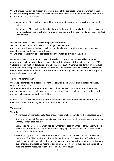We will ensure that any contractor, or any employee of the contractor, who is to work at the school has had the appropriate level of DBS check (this includes contractors who are provided through a PFI or similar contract). This will be:

- An enhanced DBS check with barred list information for contractors engaging in regulated activity
- An enhanced DBS check, not including barred list information, for all other contractors who are not in regulated activity but whose work provides them with an opportunity for regular contact with children

We will obtain the DBS check for self-employed contractors. We will not keep copies of such checks for longer than 6 months. Contractors who have not had any checks will not be allowed to work unsupervised or engage in regulated activity under any circumstances. We will check the identity of all contractors and their staff on arrival at the school.

For self-employed contractors such as music teachers or sports coaches, we will ensure that appropriate checks are carried out to ensure that individuals are not disqualified under the 2018 Childcare Disqualification Regulations and Childcare Act 2006. Where we decide that an individual falls outside of the scope of these regulations and we do not carry out such checks, we will retain a record of our assessment. This will include our evaluation of any risks and control measures put in place, and any advice sought.

## Trainee/student teachers

Where applicants for initial teacher training are salaried by us, we will ensure that all necessary checks are carried out.

Where trainee teachers are fee-funded, we will obtain written confirmation from the training provider that necessary checks have been carried out and that the trainee has been judged by the provider to be suitable to work with children.

In both cases, this includes checks to ensure that individuals are not disqualified under the 2018 Childcare Disqualification Regulations and Childcare Act 2006.

## Volunteers

We will:

- Never leave an unchecked volunteer unsupervised or allow them to work in regulated activity
- Obtain an enhanced DBS check with barred list information for all volunteers who are new to working in regulated activity
- Carry out a risk assessment when deciding whether to seek an enhanced DBS check without barred list information for any volunteers not engaging in regulated activity. We will retain a record of this risk assessment
- Ensure that appropriate checks are carried out to ensure that individuals are not disqualified under the 2018 Childcare Disqualification Regulations and Childcare Act 2006. Where we decide that an individual falls outside of the scope of these regulations and we do not carry out such checks, we will retain a record of our assessment. This will include our evaluation of any risks and control measures put in place, and any advice sought